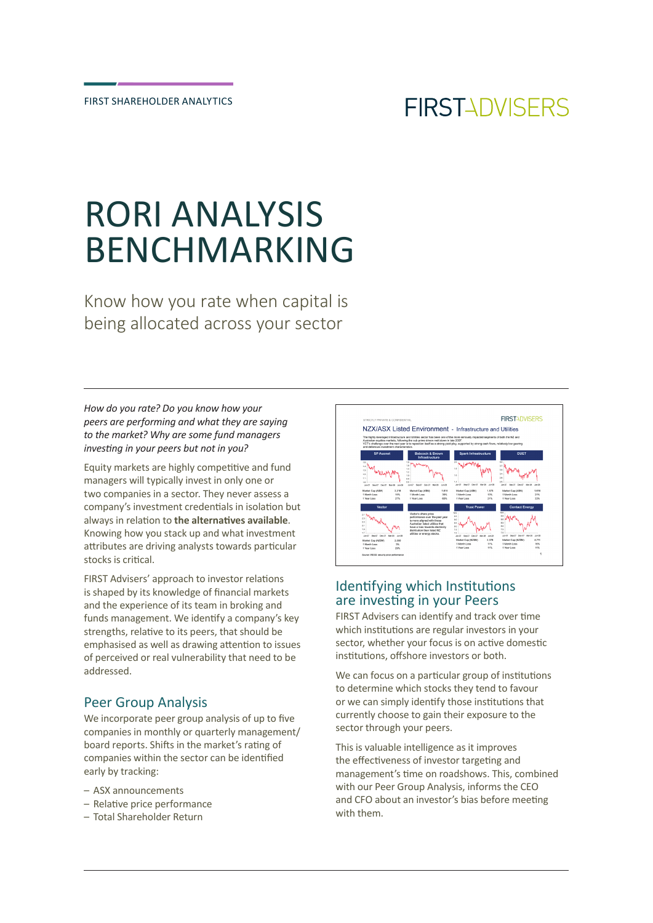# RORI ANALYSIS BENCHMARKING

Know how you rate when capital is being allocated across your sector

*How do you rate? Do you know how your peers are performing and what they are saying to the market? Why are some fund managers investing in your peers but not in you?*

Equity markets are highly competitive and fund managers will typically invest in only one or two companies in a sector. They never assess a company's investment credentials in isolation but always in relation to **the alternatives available**. Knowing how you stack up and what investment attributes are driving analysts towards particular stocks is critical.

FIRST Advisers' approach to investor relations is shaped by its knowledge of financial markets and the experience of its team in broking and funds management. We identify a company's key strengths, relative to its peers, that should be emphasised as well as drawing attention to issues of perceived or real vulnerability that need to be addressed.

# Peer Group Analysis

We incorporate peer group analysis of up to five companies in monthly or quarterly management/ board reports. Shifts in the market's rating of companies within the sector can be identified early by tracking:

- ASX announcements
- Relative price performance
- Total Shareholder Return



# Identifying which Institutions are investing in your Peers

FIRST Advisers can identify and track over time which institutions are regular investors in your sector, whether your focus is on active domestic institutions, offshore investors or both.

We can focus on a particular group of institutions to determine which stocks they tend to favour or we can simply identify those institutions that currently choose to gain their exposure to the sector through your peers.

This is valuable intelligence as it improves the effectiveness of investor targeting and management's time on roadshows. This, combined with our Peer Group Analysis, informs the CEO and CFO about an investor's bias before meeting with them.